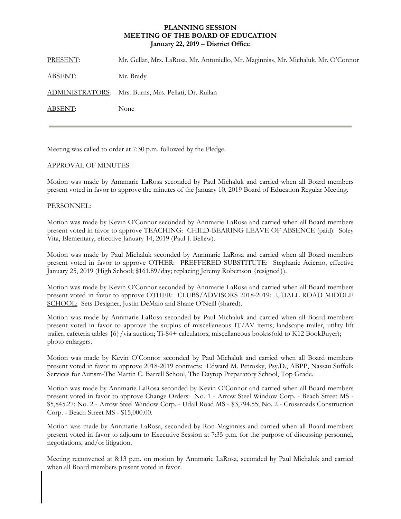## **PLANNING SESSION MEETING OF THE BOARD OF EDUCATION January 22, 2019 – District Office**

| PRESENT:       | Mr. Gellar, Mrs. LaRosa, Mr. Antoniello, Mr. Maginniss, Mr. Michaluk, Mr. O'Connor |
|----------------|------------------------------------------------------------------------------------|
| <u>ABSENT:</u> | Mr. Brady                                                                          |
|                | ADMINISTRATORS: Mrs. Burns, Mrs. Pellati, Dr. Rullan                               |
| ABSENT:        | None                                                                               |
|                |                                                                                    |

Meeting was called to order at 7:30 p.m. followed by the Pledge.

## APPROVAL OF MINUTES:

Motion was made by Annmarie LaRosa seconded by Paul Michaluk and carried when all Board members present voted in favor to approve the minutes of the January 10, 2019 Board of Education Regular Meeting.

## PERSONNEL:

Motion was made by Kevin O'Connor seconded by Annmarie LaRosa and carried when all Board members present voted in favor to approve TEACHING: CHILD-BEARING LEAVE OF ABSENCE (paid): Soley Vita, Elementary, effective January 14, 2019 (Paul J. Bellew).

Motion was made by Paul Michaluk seconded by Annmarie LaRosa and carried when all Board members present voted in favor to approve OTHER: PREFFERED SUBSTITUTE: Stephanie Acierno, effective January 25, 2019 (High School; \$161.89/day; replacing Jeremy Robertson {resigned}).

Motion was made by Kevin O'Connor seconded by Annmarie LaRosa and carried when all Board members present voted in favor to approve OTHER: CLUBS/ADVISORS 2018-2019: UDALL ROAD MIDDLE SCHOOL: Sets Designer, Justin DeMaio and Shane O'Neill (shared).

Motion was made by Annmarie LaRosa seconded by Paul Michaluk and carried when all Board members present voted in favor to approve the surplus of miscellaneous IT/AV items; landscape trailer, utility lift trailer, cafeteria tables {6}/via auction; Ti-84+ calculators, miscellaneous bookss(old to K12 BookBuyer); photo enlargers.

Motion was made by Kevin O'Connor seconded by Paul Michaluk and carried when all Board members present voted in favor to approve 2018-2019 contracts: Edward M. Petrosky, Psy.D., ABPP, Nassau Suffolk Services for Autism-The Martin C. Barrell School, The Daytop Preparatory School, Top Grade.

Motion was made by Annmarie LaRosa seconded by Kevin O'Connor and carried when all Board members present voted in favor to approve Change Orders: No. 1 - Arrow Steel Window Corp. - Beach Street MS - \$5,845.27; No. 2 - Arrow Steel Window Corp. - Udall Road MS - \$3,794.55; No. 2 - Crossroads Construction Corp. - Beach Street MS - \$15,000.00.

Motion was made by Annmarie LaRosa, seconded by Ron Maginniss and carried when all Board members present voted in favor to adjourn to Executive Session at 7:35 p.m. for the purpose of discussing personnel, negotiations, and/or litigation.

Meeting reconvened at 8:13 p.m. on motion by Annmarie LaRosa, seconded by Paul Michaluk and carried when all Board members present voted in favor.